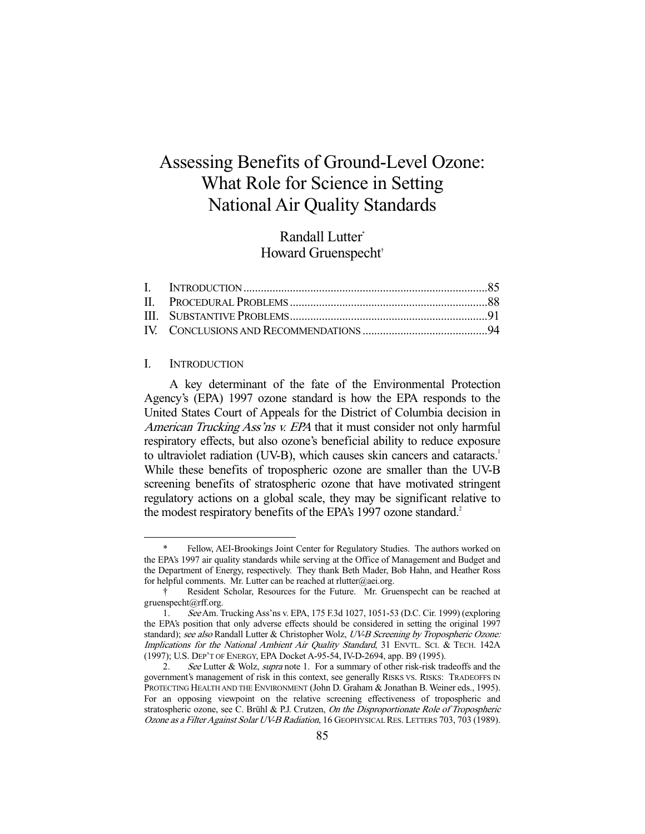# Assessing Benefits of Ground-Level Ozone: What Role for Science in Setting National Air Quality Standards

# Randall Lutter\* Howard Gruenspecht†

### I. INTRODUCTION

-

 A key determinant of the fate of the Environmental Protection Agency's (EPA) 1997 ozone standard is how the EPA responds to the United States Court of Appeals for the District of Columbia decision in American Trucking Ass'ns v. EPA that it must consider not only harmful respiratory effects, but also ozone's beneficial ability to reduce exposure to ultraviolet radiation (UV-B), which causes skin cancers and cataracts.<sup>1</sup> While these benefits of tropospheric ozone are smaller than the UV-B screening benefits of stratospheric ozone that have motivated stringent regulatory actions on a global scale, they may be significant relative to the modest respiratory benefits of the EPA's 1997 ozone standard.<sup>2</sup>

Fellow, AEI-Brookings Joint Center for Regulatory Studies. The authors worked on the EPA's 1997 air quality standards while serving at the Office of Management and Budget and the Department of Energy, respectively. They thank Beth Mader, Bob Hahn, and Heather Ross for helpful comments. Mr. Lutter can be reached at rlutter@aei.org.

 <sup>†</sup> Resident Scholar, Resources for the Future. Mr. Gruenspecht can be reached at gruenspecht@rff.org.

 <sup>1.</sup> See Am. Trucking Ass'ns v. EPA, 175 F.3d 1027, 1051-53 (D.C. Cir. 1999) (exploring the EPA's position that only adverse effects should be considered in setting the original 1997 standard); see also Randall Lutter & Christopher Wolz, UV-B Screening by Tropospheric Ozone: Implications for the National Ambient Air Quality Standard, 31 ENVTL. SCI. & TECH. 142A (1997); U.S. DEP'T OF ENERGY, EPA Docket A-95-54, IV-D-2694, app. B9 (1995).

<sup>2.</sup> See Lutter & Wolz, *supra* note 1. For a summary of other risk-risk tradeoffs and the government's management of risk in this context, see generally RISKS VS. RISKS: TRADEOFFS IN PROTECTING HEALTH AND THE ENVIRONMENT (John D. Graham & Jonathan B. Weiner eds., 1995). For an opposing viewpoint on the relative screening effectiveness of tropospheric and stratospheric ozone, see C. Brühl & P.J. Crutzen, On the Disproportionate Role of Tropospheric Ozone as a Filter Against Solar UV-B Radiation, 16 GEOPHYSICAL RES. LETTERS 703, 703 (1989).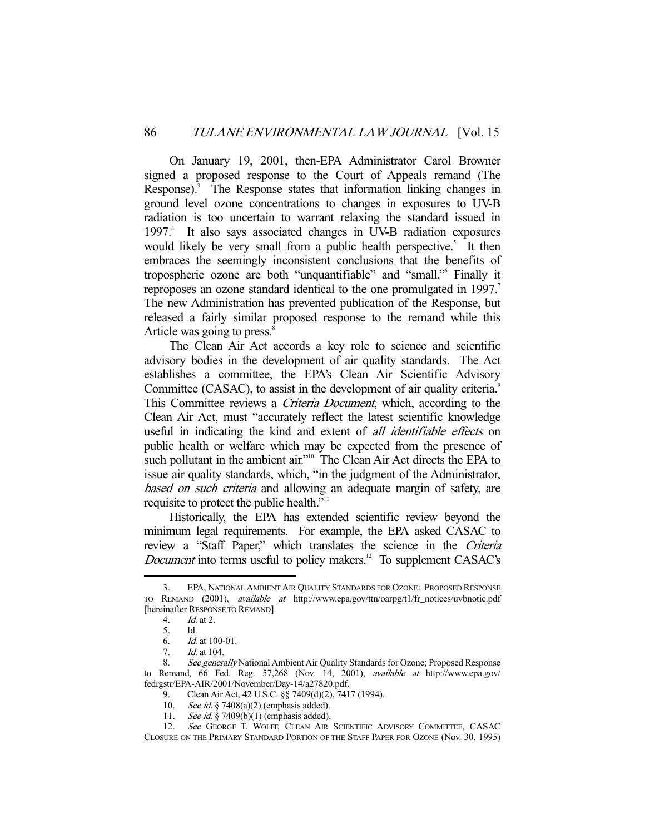On January 19, 2001, then-EPA Administrator Carol Browner signed a proposed response to the Court of Appeals remand (The Response).<sup>3</sup> The Response states that information linking changes in ground level ozone concentrations to changes in exposures to UV-B radiation is too uncertain to warrant relaxing the standard issued in 1997.<sup>4</sup> It also says associated changes in UV-B radiation exposures would likely be very small from a public health perspective.<sup>5</sup> It then embraces the seemingly inconsistent conclusions that the benefits of tropospheric ozone are both "unquantifiable" and "small."6 Finally it reproposes an ozone standard identical to the one promulgated in 1997.<sup>7</sup> The new Administration has prevented publication of the Response, but released a fairly similar proposed response to the remand while this Article was going to press.<sup>8</sup>

 The Clean Air Act accords a key role to science and scientific advisory bodies in the development of air quality standards. The Act establishes a committee, the EPA's Clean Air Scientific Advisory Committee (CASAC), to assist in the development of air quality criteria.<sup>9</sup> This Committee reviews a *Criteria Document*, which, according to the Clean Air Act, must "accurately reflect the latest scientific knowledge useful in indicating the kind and extent of *all identifiable effects* on public health or welfare which may be expected from the presence of such pollutant in the ambient air."<sup>10</sup> The Clean Air Act directs the EPA to issue air quality standards, which, "in the judgment of the Administrator, based on such criteria and allowing an adequate margin of safety, are requisite to protect the public health."<sup>11</sup>

 Historically, the EPA has extended scientific review beyond the minimum legal requirements. For example, the EPA asked CASAC to review a "Staff Paper," which translates the science in the Criteria *Document* into terms useful to policy makers.<sup>12</sup> To supplement CASAC's

 <sup>3.</sup> EPA, NATIONAL AMBIENT AIR QUALITY STANDARDS FOR OZONE: PROPOSED RESPONSE TO REMAND (2001), available at http://www.epa.gov/ttn/oarpg/t1/fr\_notices/uvbnotic.pdf [hereinafter RESPONSE TO REMAND].

 <sup>4.</sup> Id. at 2.

 <sup>5.</sup> Id.

 <sup>6.</sup> Id. at 100-01.

 <sup>7.</sup> Id. at 104.

<sup>8.</sup> See generally National Ambient Air Quality Standards for Ozone; Proposed Response to Remand, 66 Fed. Reg. 57,268 (Nov. 14, 2001), available at http://www.epa.gov/ fedrgstr/EPA-AIR/2001/November/Day-14/a27820.pdf.

 <sup>9.</sup> Clean Air Act, 42 U.S.C. §§ 7409(d)(2), 7417 (1994).

<sup>10.</sup> See id. § 7408(a)(2) (emphasis added).

<sup>11.</sup> See id. § 7409(b)(1) (emphasis added).

<sup>12.</sup> See GEORGE T. WOLFF, CLEAN AIR SCIENTIFIC ADVISORY COMMITTEE, CASAC CLOSURE ON THE PRIMARY STANDARD PORTION OF THE STAFF PAPER FOR OZONE (Nov. 30, 1995)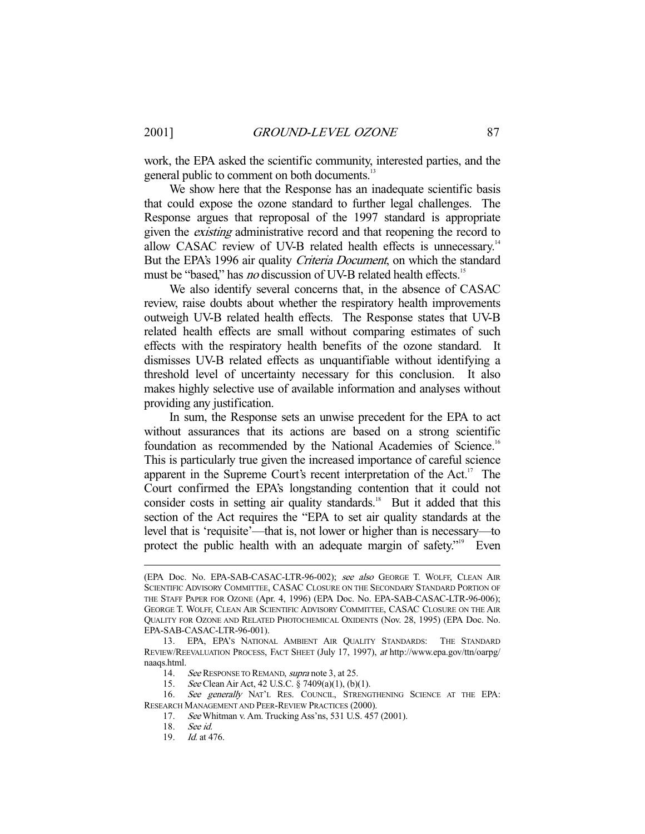work, the EPA asked the scientific community, interested parties, and the general public to comment on both documents.<sup>13</sup>

 We show here that the Response has an inadequate scientific basis that could expose the ozone standard to further legal challenges. The Response argues that reproposal of the 1997 standard is appropriate given the existing administrative record and that reopening the record to allow CASAC review of UV-B related health effects is unnecessary.<sup>14</sup> But the EPA's 1996 air quality Criteria Document, on which the standard must be "based," has *no* discussion of UV-B related health effects.<sup>15</sup>

 We also identify several concerns that, in the absence of CASAC review, raise doubts about whether the respiratory health improvements outweigh UV-B related health effects. The Response states that UV-B related health effects are small without comparing estimates of such effects with the respiratory health benefits of the ozone standard. It dismisses UV-B related effects as unquantifiable without identifying a threshold level of uncertainty necessary for this conclusion. It also makes highly selective use of available information and analyses without providing any justification.

 In sum, the Response sets an unwise precedent for the EPA to act without assurances that its actions are based on a strong scientific foundation as recommended by the National Academies of Science.<sup>16</sup> This is particularly true given the increased importance of careful science apparent in the Supreme Court's recent interpretation of the Act.<sup>17</sup> The Court confirmed the EPA's longstanding contention that it could not consider costs in setting air quality standards.<sup>18</sup> But it added that this section of the Act requires the "EPA to set air quality standards at the level that is 'requisite'—that is, not lower or higher than is necessary—to protect the public health with an adequate margin of safety."<sup>19</sup> Even

<sup>(</sup>EPA Doc. No. EPA-SAB-CASAC-LTR-96-002); see also GEORGE T. WOLFF, CLEAN AIR SCIENTIFIC ADVISORY COMMITTEE, CASAC CLOSURE ON THE SECONDARY STANDARD PORTION OF THE STAFF PAPER FOR OZONE (Apr. 4, 1996) (EPA Doc. No. EPA-SAB-CASAC-LTR-96-006); GEORGE T. WOLFF, CLEAN AIR SCIENTIFIC ADVISORY COMMITTEE, CASAC CLOSURE ON THE AIR QUALITY FOR OZONE AND RELATED PHOTOCHEMICAL OXIDENTS (Nov. 28, 1995) (EPA Doc. No. EPA-SAB-CASAC-LTR-96-001).

 <sup>13.</sup> EPA, EPA'S NATIONAL AMBIENT AIR QUALITY STANDARDS: THE STANDARD REVIEW/REEVALUATION PROCESS, FACT SHEET (July 17, 1997), at http://www.epa.gov/ttn/oarpg/ naaqs.html.

<sup>14.</sup> See RESPONSE TO REMAND, *supra* note 3, at 25.

 <sup>15.</sup> See Clean Air Act, 42 U.S.C. § 7409(a)(1), (b)(1).

<sup>16.</sup> See generally NAT'L RES. COUNCIL, STRENGTHENING SCIENCE AT THE EPA: RESEARCH MANAGEMENT AND PEER-REVIEW PRACTICES (2000).

 <sup>17.</sup> See Whitman v. Am. Trucking Ass'ns, 531 U.S. 457 (2001).

 <sup>18.</sup> See id.

 <sup>19.</sup> Id. at 476.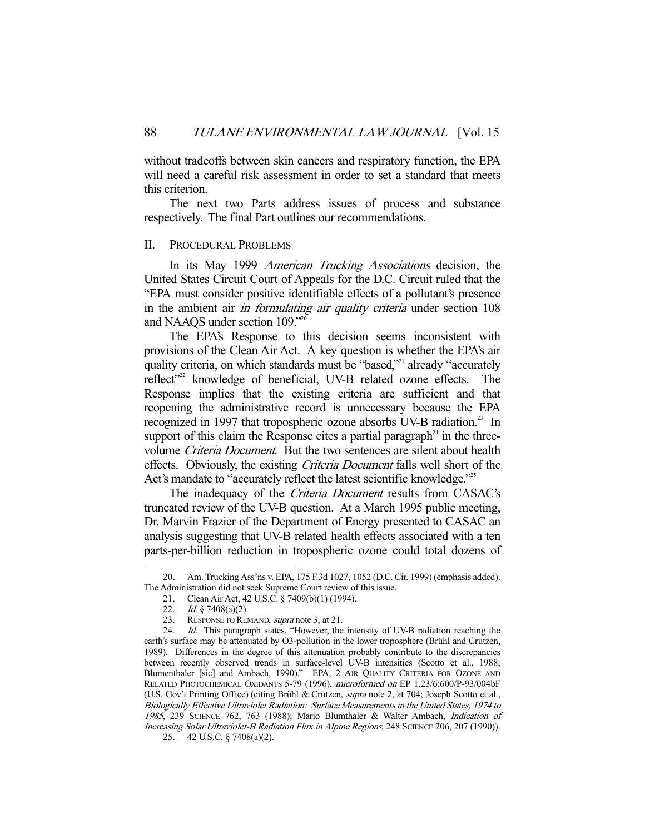without tradeoffs between skin cancers and respiratory function, the EPA will need a careful risk assessment in order to set a standard that meets this criterion.

 The next two Parts address issues of process and substance respectively. The final Part outlines our recommendations.

#### II. PROCEDURAL PROBLEMS

 In its May 1999 American Trucking Associations decision, the United States Circuit Court of Appeals for the D.C. Circuit ruled that the "EPA must consider positive identifiable effects of a pollutant's presence in the ambient air in formulating air quality criteria under section 108 and NAAQS under section 109."20

 The EPA's Response to this decision seems inconsistent with provisions of the Clean Air Act. A key question is whether the EPA's air quality criteria, on which standards must be "based,"<sup>21</sup> already "accurately reflect<sup>"22</sup> knowledge of beneficial, UV-B related ozone effects. The Response implies that the existing criteria are sufficient and that reopening the administrative record is unnecessary because the EPA recognized in 1997 that tropospheric ozone absorbs UV-B radiation.<sup>23</sup> In support of this claim the Response cites a partial paragraph $^{24}$  in the threevolume Criteria Document. But the two sentences are silent about health effects. Obviously, the existing Criteria Document falls well short of the Act's mandate to "accurately reflect the latest scientific knowledge."<sup>25</sup>

The inadequacy of the *Criteria Document* results from CASAC's truncated review of the UV-B question. At a March 1995 public meeting, Dr. Marvin Frazier of the Department of Energy presented to CASAC an analysis suggesting that UV-B related health effects associated with a ten parts-per-billion reduction in tropospheric ozone could total dozens of

 <sup>20.</sup> Am. Trucking Ass'ns v. EPA, 175 F.3d 1027, 1052 (D.C. Cir. 1999) (emphasis added). The Administration did not seek Supreme Court review of this issue.

 <sup>21.</sup> Clean Air Act, 42 U.S.C. § 7409(b)(1) (1994).

<sup>22.</sup> *Id.* § 7408(a)(2).

<sup>23.</sup> RESPONSE TO REMAND, *supra* note 3, at 21.

<sup>24.</sup> Id. This paragraph states, "However, the intensity of UV-B radiation reaching the earth's surface may be attenuated by O3-pollution in the lower troposphere (Brühl and Crutzen, 1989). Differences in the degree of this attenuation probably contribute to the discrepancies between recently observed trends in surface-level UV-B intensities (Scotto et al., 1988; Blumenthaler [sic] and Ambach, 1990)." EPA, 2 AIR QUALITY CRITERIA FOR OZONE AND RELATED PHOTOCHEMICAL OXIDANTS 5-79 (1996), microformed on EP 1.23/6:600/P-93/004bF (U.S. Gov't Printing Office) (citing Brühl & Crutzen, supra note 2, at 704; Joseph Scotto et al., Biologically Effective Ultraviolet Radiation: Surface Measurements in the United States, 1974 to <sup>1985</sup>, 239 SCIENCE 762, 763 (1988); Mario Blumthaler & Walter Ambach, Indication of Increasing Solar Ultraviolet-B Radiation Flux in Alpine Regions, 248 SCIENCE 206, 207 (1990)).

 <sup>25. 42</sup> U.S.C. § 7408(a)(2).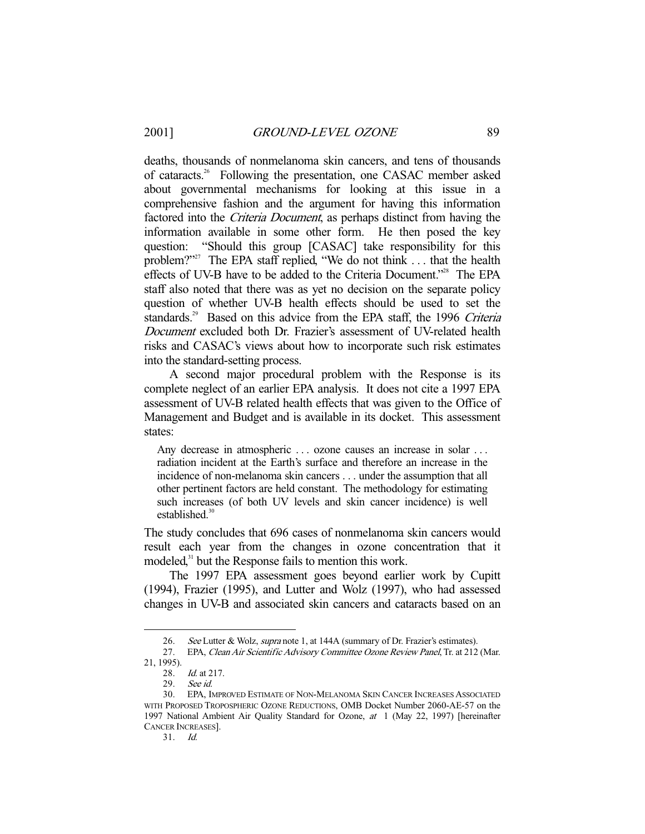deaths, thousands of nonmelanoma skin cancers, and tens of thousands of cataracts.26 Following the presentation, one CASAC member asked about governmental mechanisms for looking at this issue in a comprehensive fashion and the argument for having this information factored into the *Criteria Document*, as perhaps distinct from having the information available in some other form. He then posed the key question: "Should this group [CASAC] take responsibility for this problem?"<sup>27</sup> The EPA staff replied, "We do not think ... that the health effects of UV-B have to be added to the Criteria Document."<sup>28</sup> The EPA staff also noted that there was as yet no decision on the separate policy question of whether UV-B health effects should be used to set the standards.<sup>29</sup> Based on this advice from the EPA staff, the 1996 Criteria Document excluded both Dr. Frazier's assessment of UV-related health risks and CASAC's views about how to incorporate such risk estimates into the standard-setting process.

 A second major procedural problem with the Response is its complete neglect of an earlier EPA analysis. It does not cite a 1997 EPA assessment of UV-B related health effects that was given to the Office of Management and Budget and is available in its docket. This assessment states:

Any decrease in atmospheric ... ozone causes an increase in solar ... radiation incident at the Earth's surface and therefore an increase in the incidence of non-melanoma skin cancers . . . under the assumption that all other pertinent factors are held constant. The methodology for estimating such increases (of both UV levels and skin cancer incidence) is well established.<sup>30</sup>

The study concludes that 696 cases of nonmelanoma skin cancers would result each year from the changes in ozone concentration that it modeled,<sup>31</sup> but the Response fails to mention this work.

 The 1997 EPA assessment goes beyond earlier work by Cupitt (1994), Frazier (1995), and Lutter and Wolz (1997), who had assessed changes in UV-B and associated skin cancers and cataracts based on an

-

31. Id.

<sup>26.</sup> See Lutter & Wolz, *supra* note 1, at 144A (summary of Dr. Frazier's estimates).

 <sup>27.</sup> EPA, Clean Air Scientific Advisory Committee Ozone Review Panel, Tr. at 212 (Mar.

<sup>21, 1995).</sup> 

 <sup>28.</sup> Id. at 217.

 <sup>29.</sup> See id.

 <sup>30.</sup> EPA, IMPROVED ESTIMATE OF NON-MELANOMA SKIN CANCER INCREASES ASSOCIATED WITH PROPOSED TROPOSPHERIC OZONE REDUCTIONS, OMB Docket Number 2060-AE-57 on the 1997 National Ambient Air Quality Standard for Ozone, at 1 (May 22, 1997) [hereinafter CANCER INCREASES].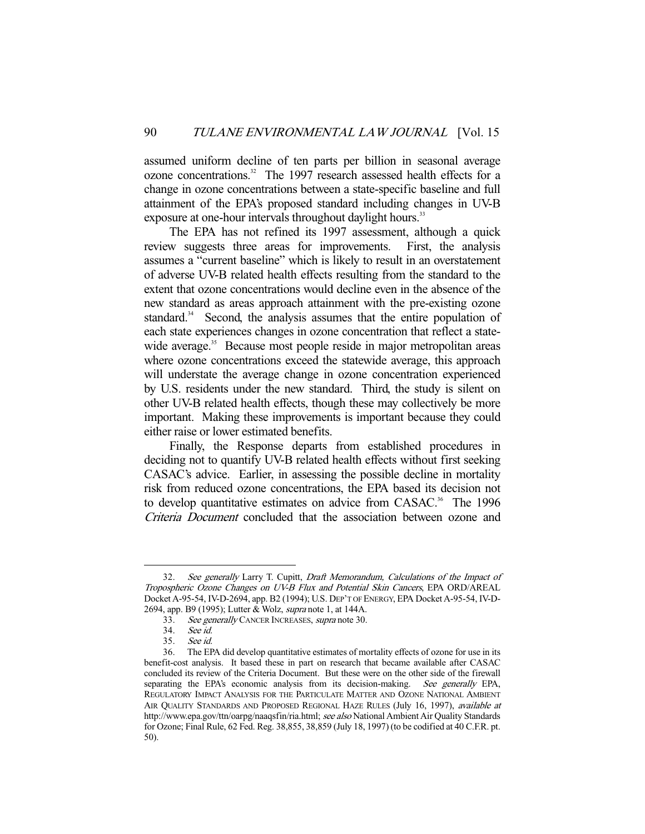assumed uniform decline of ten parts per billion in seasonal average ozone concentrations.<sup>32</sup> The 1997 research assessed health effects for a change in ozone concentrations between a state-specific baseline and full attainment of the EPA's proposed standard including changes in UV-B exposure at one-hour intervals throughout daylight hours.<sup>33</sup>

 The EPA has not refined its 1997 assessment, although a quick review suggests three areas for improvements. First, the analysis assumes a "current baseline" which is likely to result in an overstatement of adverse UV-B related health effects resulting from the standard to the extent that ozone concentrations would decline even in the absence of the new standard as areas approach attainment with the pre-existing ozone standard.<sup>34</sup> Second, the analysis assumes that the entire population of each state experiences changes in ozone concentration that reflect a statewide average.<sup>35</sup> Because most people reside in major metropolitan areas where ozone concentrations exceed the statewide average, this approach will understate the average change in ozone concentration experienced by U.S. residents under the new standard. Third, the study is silent on other UV-B related health effects, though these may collectively be more important. Making these improvements is important because they could either raise or lower estimated benefits.

 Finally, the Response departs from established procedures in deciding not to quantify UV-B related health effects without first seeking CASAC's advice. Earlier, in assessing the possible decline in mortality risk from reduced ozone concentrations, the EPA based its decision not to develop quantitative estimates on advice from CASAC.<sup>36</sup> The 1996 Criteria Document concluded that the association between ozone and

<sup>32.</sup> See generally Larry T. Cupitt, Draft Memorandum, Calculations of the Impact of Tropospheric Ozone Changes on UV-B Flux and Potential Skin Cancers, EPA ORD/AREAL Docket A-95-54, IV-D-2694, app. B2 (1994); U.S. DEP'T OF ENERGY, EPA Docket A-95-54, IV-D-2694, app. B9 (1995); Lutter & Wolz, supra note 1, at 144A.

<sup>33.</sup> See generally CANCER INCREASES, supra note 30.<br>34. See id.

<sup>34.</sup> See id.<br>35. See id.

 <sup>35.</sup> See id.

 <sup>36.</sup> The EPA did develop quantitative estimates of mortality effects of ozone for use in its benefit-cost analysis. It based these in part on research that became available after CASAC concluded its review of the Criteria Document. But these were on the other side of the firewall separating the EPA's economic analysis from its decision-making. See generally EPA, REGULATORY IMPACT ANALYSIS FOR THE PARTICULATE MATTER AND OZONE NATIONAL AMBIENT AIR QUALITY STANDARDS AND PROPOSED REGIONAL HAZE RULES (July 16, 1997), available at http://www.epa.gov/ttn/oarpg/naaqsfin/ria.html; see also National Ambient Air Quality Standards for Ozone; Final Rule, 62 Fed. Reg. 38,855, 38,859 (July 18, 1997) (to be codified at 40 C.F.R. pt. 50).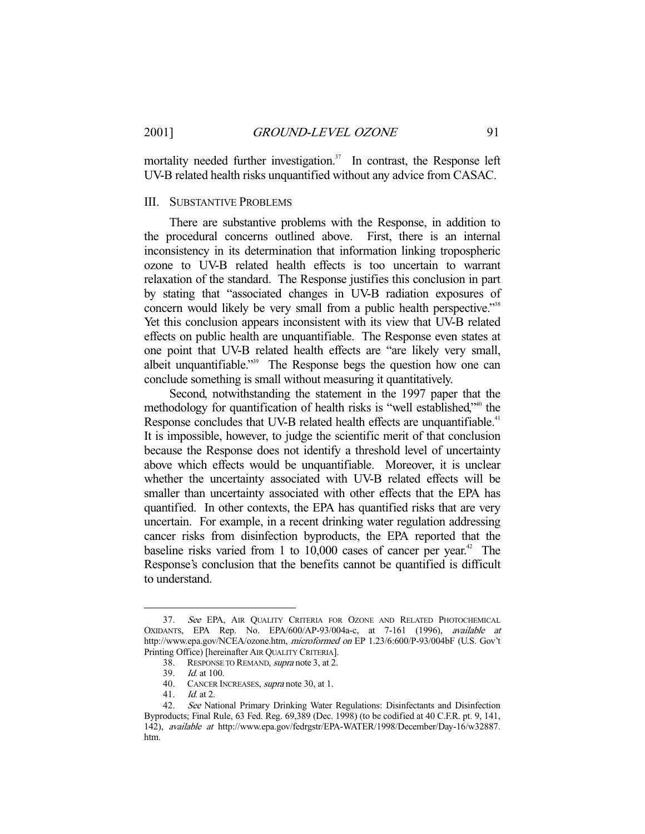mortality needed further investigation.<sup>37</sup> In contrast, the Response left UV-B related health risks unquantified without any advice from CASAC.

## III. SUBSTANTIVE PROBLEMS

 There are substantive problems with the Response, in addition to the procedural concerns outlined above. First, there is an internal inconsistency in its determination that information linking tropospheric ozone to UV-B related health effects is too uncertain to warrant relaxation of the standard. The Response justifies this conclusion in part by stating that "associated changes in UV-B radiation exposures of concern would likely be very small from a public health perspective."<sup>38</sup> Yet this conclusion appears inconsistent with its view that UV-B related effects on public health are unquantifiable. The Response even states at one point that UV-B related health effects are "are likely very small, albeit unquantifiable."<sup>39</sup> The Response begs the question how one can conclude something is small without measuring it quantitatively.

 Second, notwithstanding the statement in the 1997 paper that the methodology for quantification of health risks is "well established,"40 the Response concludes that UV-B related health effects are unquantifiable.<sup>41</sup> It is impossible, however, to judge the scientific merit of that conclusion because the Response does not identify a threshold level of uncertainty above which effects would be unquantifiable. Moreover, it is unclear whether the uncertainty associated with UV-B related effects will be smaller than uncertainty associated with other effects that the EPA has quantified. In other contexts, the EPA has quantified risks that are very uncertain. For example, in a recent drinking water regulation addressing cancer risks from disinfection byproducts, the EPA reported that the baseline risks varied from 1 to  $10,000$  cases of cancer per year.<sup>42</sup> The Response's conclusion that the benefits cannot be quantified is difficult to understand.

 <sup>37.</sup> See EPA, AIR QUALITY CRITERIA FOR OZONE AND RELATED PHOTOCHEMICAL OXIDANTS, EPA Rep. No. EPA/600/AP-93/004a-c, at 7-161 (1996), available at http://www.epa.gov/NCEA/ozone.htm, microformed on EP 1.23/6:600/P-93/004bF (U.S. Gov't Printing Office) [hereinafter AIR QUALITY CRITERIA].

 <sup>38.</sup> RESPONSE TO REMAND, supra note 3, at 2.

 <sup>39.</sup> Id. at 100.

<sup>40.</sup> CANCER INCREASES, *supra* note 30, at 1.

 <sup>41.</sup> Id. at 2.

<sup>42.</sup> See National Primary Drinking Water Regulations: Disinfectants and Disinfection Byproducts; Final Rule, 63 Fed. Reg. 69,389 (Dec. 1998) (to be codified at 40 C.F.R. pt. 9, 141, 142), available at http://www.epa.gov/fedrgstr/EPA-WATER/1998/December/Day-16/w32887. htm.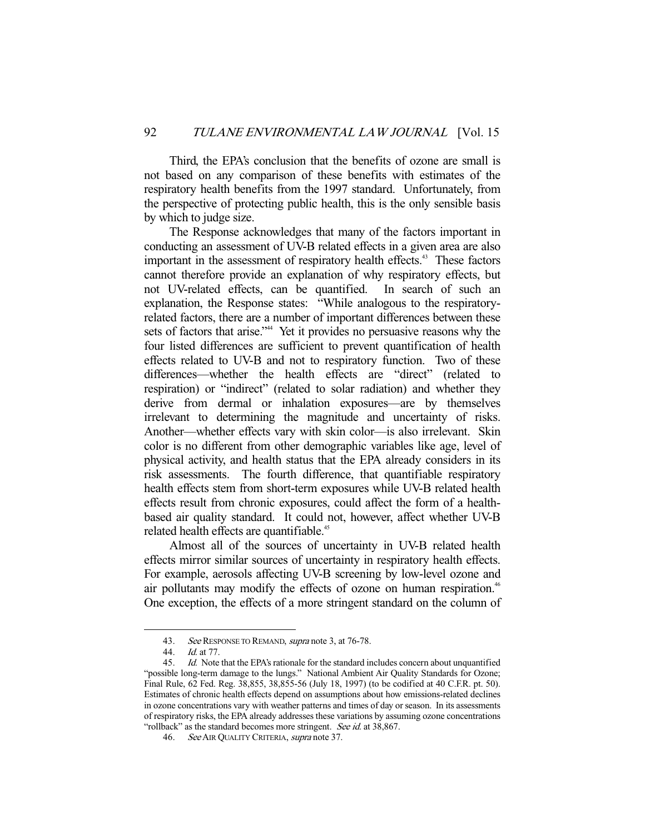Third, the EPA's conclusion that the benefits of ozone are small is not based on any comparison of these benefits with estimates of the respiratory health benefits from the 1997 standard. Unfortunately, from the perspective of protecting public health, this is the only sensible basis by which to judge size.

 The Response acknowledges that many of the factors important in conducting an assessment of UV-B related effects in a given area are also important in the assessment of respiratory health effects.<sup>43</sup> These factors cannot therefore provide an explanation of why respiratory effects, but not UV-related effects, can be quantified. In search of such an explanation, the Response states: "While analogous to the respiratoryrelated factors, there are a number of important differences between these sets of factors that arise."<sup>44</sup> Yet it provides no persuasive reasons why the four listed differences are sufficient to prevent quantification of health effects related to UV-B and not to respiratory function. Two of these differences—whether the health effects are "direct" (related to respiration) or "indirect" (related to solar radiation) and whether they derive from dermal or inhalation exposures—are by themselves irrelevant to determining the magnitude and uncertainty of risks. Another—whether effects vary with skin color—is also irrelevant. Skin color is no different from other demographic variables like age, level of physical activity, and health status that the EPA already considers in its risk assessments. The fourth difference, that quantifiable respiratory health effects stem from short-term exposures while UV-B related health effects result from chronic exposures, could affect the form of a healthbased air quality standard. It could not, however, affect whether UV-B related health effects are quantifiable.<sup>45</sup>

 Almost all of the sources of uncertainty in UV-B related health effects mirror similar sources of uncertainty in respiratory health effects. For example, aerosols affecting UV-B screening by low-level ozone and air pollutants may modify the effects of ozone on human respiration.<sup>46</sup> One exception, the effects of a more stringent standard on the column of

<sup>43.</sup> See RESPONSE TO REMAND, supra note 3, at 76-78.<br>44 Id at 77

Id. at 77.

 <sup>45.</sup> Id. Note that the EPA's rationale for the standard includes concern about unquantified "possible long-term damage to the lungs." National Ambient Air Quality Standards for Ozone; Final Rule, 62 Fed. Reg. 38,855, 38,855-56 (July 18, 1997) (to be codified at 40 C.F.R. pt. 50). Estimates of chronic health effects depend on assumptions about how emissions-related declines in ozone concentrations vary with weather patterns and times of day or season. In its assessments of respiratory risks, the EPA already addresses these variations by assuming ozone concentrations "rollback" as the standard becomes more stringent. See id. at 38,867.

<sup>46.</sup> See AIR QUALITY CRITERIA, supra note 37.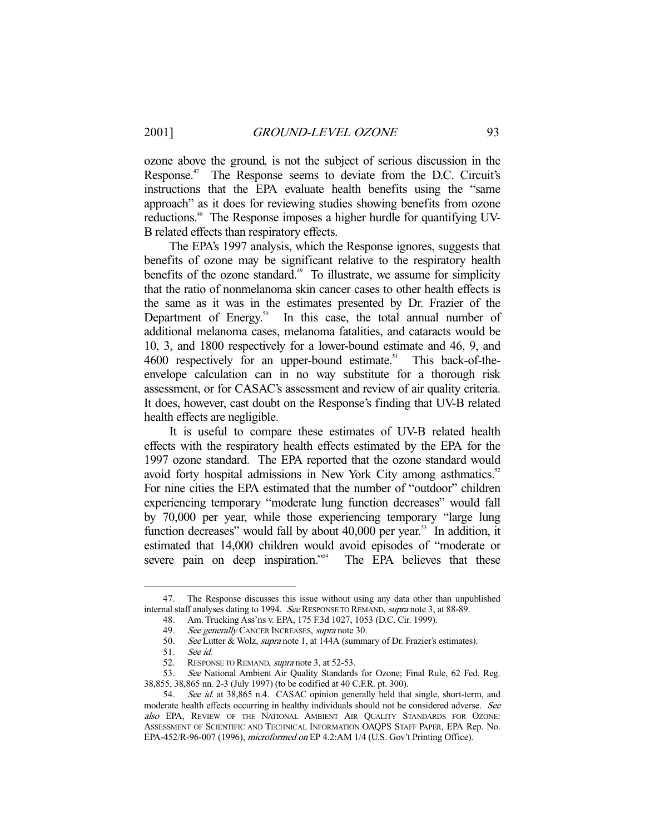ozone above the ground, is not the subject of serious discussion in the Response.<sup>47</sup> The Response seems to deviate from the D.C. Circuit's instructions that the EPA evaluate health benefits using the "same approach" as it does for reviewing studies showing benefits from ozone reductions.<sup>48</sup> The Response imposes a higher hurdle for quantifying UV-B related effects than respiratory effects.

 The EPA's 1997 analysis, which the Response ignores, suggests that benefits of ozone may be significant relative to the respiratory health benefits of the ozone standard.<sup>49</sup> To illustrate, we assume for simplicity that the ratio of nonmelanoma skin cancer cases to other health effects is the same as it was in the estimates presented by Dr. Frazier of the Department of Energy.<sup>50</sup> In this case, the total annual number of additional melanoma cases, melanoma fatalities, and cataracts would be 10, 3, and 1800 respectively for a lower-bound estimate and 46, 9, and 4600 respectively for an upper-bound estimate.<sup>51</sup> This back-of-theenvelope calculation can in no way substitute for a thorough risk assessment, or for CASAC's assessment and review of air quality criteria. It does, however, cast doubt on the Response's finding that UV-B related health effects are negligible.

 It is useful to compare these estimates of UV-B related health effects with the respiratory health effects estimated by the EPA for the 1997 ozone standard. The EPA reported that the ozone standard would avoid forty hospital admissions in New York City among asthmatics.<sup>52</sup> For nine cities the EPA estimated that the number of "outdoor" children experiencing temporary "moderate lung function decreases" would fall by 70,000 per year, while those experiencing temporary "large lung function decreases" would fall by about  $40,000$  per year.<sup>53</sup> In addition, it estimated that 14,000 children would avoid episodes of "moderate or severe pain on deep inspiration."<sup>54</sup> The EPA believes that these

 <sup>47.</sup> The Response discusses this issue without using any data other than unpublished internal staff analyses dating to 1994. See RESPONSE TO REMAND, supra note 3, at 88-89.

 <sup>48.</sup> Am. Trucking Ass'ns v. EPA, 175 F.3d 1027, 1053 (D.C. Cir. 1999).

<sup>49.</sup> See generally CANCER INCREASES, supra note 30.

<sup>50.</sup> See Lutter & Wolz, supra note 1, at 144A (summary of Dr. Frazier's estimates).

 <sup>51.</sup> See id.

 <sup>52.</sup> RESPONSE TO REMAND, supra note 3, at 52-53.

<sup>53.</sup> See National Ambient Air Quality Standards for Ozone; Final Rule, 62 Fed. Reg. 38,855, 38,865 nn. 2-3 (July 1997) (to be codified at 40 C.F.R. pt. 300).

<sup>54.</sup> See id. at 38,865 n.4. CASAC opinion generally held that single, short-term, and moderate health effects occurring in healthy individuals should not be considered adverse. See also EPA, REVIEW OF THE NATIONAL AMBIENT AIR QUALITY STANDARDS FOR OZONE: ASSESSMENT OF SCIENTIFIC AND TECHNICAL INFORMATION OAQPS STAFF PAPER, EPA Rep. No. EPA-452/R-96-007 (1996), microformed on EP 4.2:AM 1/4 (U.S. Gov't Printing Office).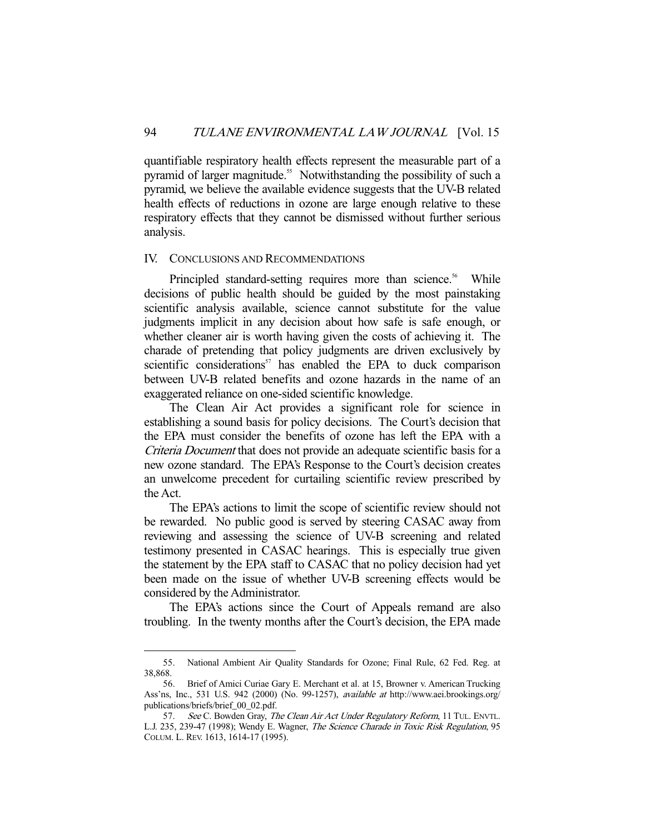quantifiable respiratory health effects represent the measurable part of a pyramid of larger magnitude.<sup>55</sup> Notwithstanding the possibility of such a pyramid, we believe the available evidence suggests that the UV-B related health effects of reductions in ozone are large enough relative to these respiratory effects that they cannot be dismissed without further serious analysis.

#### IV. CONCLUSIONS AND RECOMMENDATIONS

Principled standard-setting requires more than science.<sup>56</sup> While decisions of public health should be guided by the most painstaking scientific analysis available, science cannot substitute for the value judgments implicit in any decision about how safe is safe enough, or whether cleaner air is worth having given the costs of achieving it. The charade of pretending that policy judgments are driven exclusively by scientific considerations<sup>57</sup> has enabled the EPA to duck comparison between UV-B related benefits and ozone hazards in the name of an exaggerated reliance on one-sided scientific knowledge.

 The Clean Air Act provides a significant role for science in establishing a sound basis for policy decisions. The Court's decision that the EPA must consider the benefits of ozone has left the EPA with a Criteria Document that does not provide an adequate scientific basis for a new ozone standard. The EPA's Response to the Court's decision creates an unwelcome precedent for curtailing scientific review prescribed by the Act.

 The EPA's actions to limit the scope of scientific review should not be rewarded. No public good is served by steering CASAC away from reviewing and assessing the science of UV-B screening and related testimony presented in CASAC hearings. This is especially true given the statement by the EPA staff to CASAC that no policy decision had yet been made on the issue of whether UV-B screening effects would be considered by the Administrator.

 The EPA's actions since the Court of Appeals remand are also troubling. In the twenty months after the Court's decision, the EPA made

 <sup>55.</sup> National Ambient Air Quality Standards for Ozone; Final Rule, 62 Fed. Reg. at 38,868.

 <sup>56.</sup> Brief of Amici Curiae Gary E. Merchant et al. at 15, Browner v. American Trucking Ass'ns, Inc., 531 U.S. 942 (2000) (No. 99-1257), available at http://www.aei.brookings.org/ publications/briefs/brief\_00\_02.pdf.

<sup>57.</sup> See C. Bowden Gray, The Clean Air Act Under Regulatory Reform, 11 TUL. ENVTL. L.J. 235, 239-47 (1998); Wendy E. Wagner, The Science Charade in Toxic Risk Regulation, 95 COLUM. L. REV. 1613, 1614-17 (1995).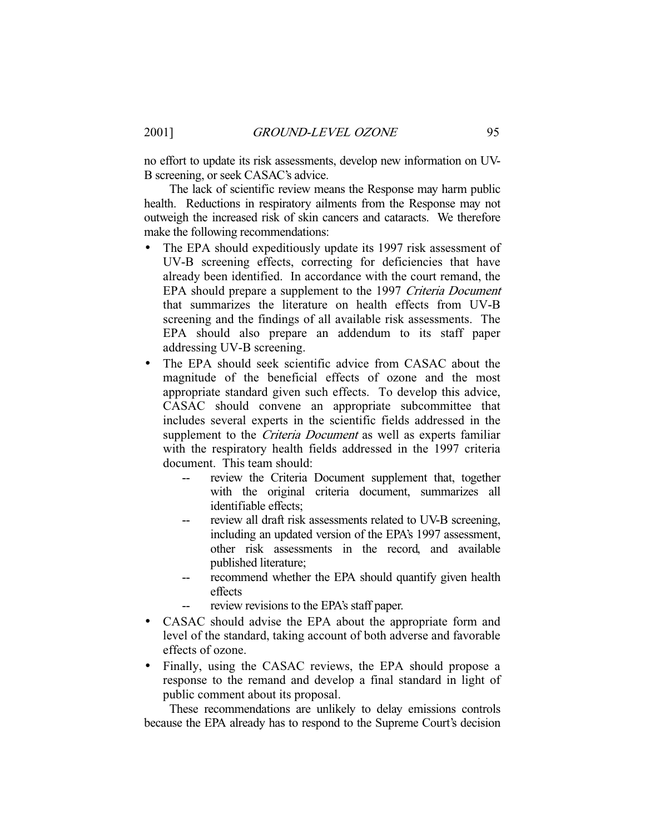no effort to update its risk assessments, develop new information on UV-B screening, or seek CASAC's advice.

 The lack of scientific review means the Response may harm public health. Reductions in respiratory ailments from the Response may not outweigh the increased risk of skin cancers and cataracts. We therefore make the following recommendations:

- The EPA should expeditiously update its 1997 risk assessment of UV-B screening effects, correcting for deficiencies that have already been identified. In accordance with the court remand, the EPA should prepare a supplement to the 1997 Criteria Document that summarizes the literature on health effects from UV-B screening and the findings of all available risk assessments. The EPA should also prepare an addendum to its staff paper addressing UV-B screening.
- The EPA should seek scientific advice from CASAC about the magnitude of the beneficial effects of ozone and the most appropriate standard given such effects. To develop this advice, CASAC should convene an appropriate subcommittee that includes several experts in the scientific fields addressed in the supplement to the *Criteria Document* as well as experts familiar with the respiratory health fields addressed in the 1997 criteria document. This team should:
	- review the Criteria Document supplement that, together with the original criteria document, summarizes all identifiable effects;
	- review all draft risk assessments related to UV-B screening, including an updated version of the EPA's 1997 assessment, other risk assessments in the record, and available published literature;
	- -- recommend whether the EPA should quantify given health effects
	- review revisions to the EPA's staff paper.
- CASAC should advise the EPA about the appropriate form and level of the standard, taking account of both adverse and favorable effects of ozone.
- Finally, using the CASAC reviews, the EPA should propose a response to the remand and develop a final standard in light of public comment about its proposal.

 These recommendations are unlikely to delay emissions controls because the EPA already has to respond to the Supreme Court's decision